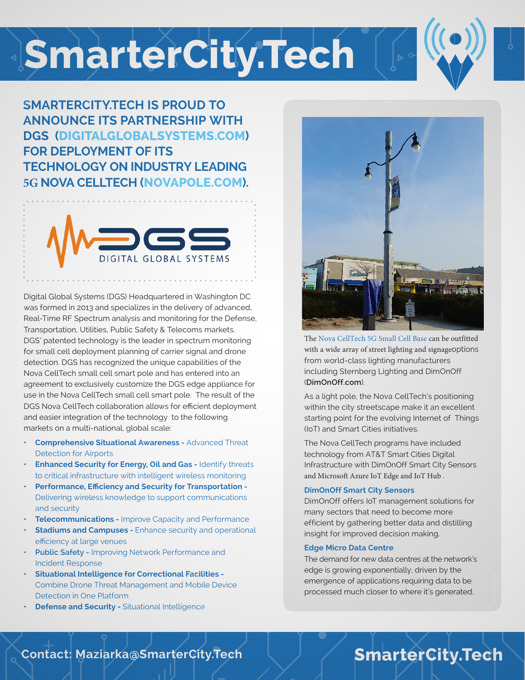## **SmarterCity.Tech**



**SMARTERCITY.TECH IS PROUD TO ANNOUNCE ITS PARTNERSHIP WITH DGS (DIGITALGLOBALSYSTEMS.COM) FOR DEPLOYMENT OF ITS TECHNOLOGY ON INDUSTRY LEADING 5G NOVA CELLTECH (NOVAPOLE.COM).**



Digital Global Systems (DGS) Headquartered in Washington DC was formed in 2013 and specializes in the delivery of advanced, Real-Time RF Spectrum analysis and monitoring for the Defense, Transportation, Utilities, Public Safety & Telecoms markets. DGS' patented technology is the leader in spectrum monitoring for small cell deployment planning of carrier signal and drone detection. DGS has recognized the unique capabilities of the Nova CellTech small cell smart pole and has entered into an agreement to exclusively customize the DGS edge appliance for use in the Nova CellTech small cell smart pole. The result of the DGS Nova CellTech collaboration allows for efficient deployment and easier integration of the technology to the following markets on a multi-national, global scale:

- **• Comprehensive Situational Awareness** Advanced Threat Detection for Airports
- **• Enhanced Security for Energy, Oil and Gas -** Identify threats to critical infrastructure with intelligent wireless monitoring
- **• Performance, Efficiency and Security for Transportation -** Delivering wireless knowledge to support communications and security
- **• Telecommunications -** Improve Capacity and Performance
- **• Stadiums and Campuses** Enhance security and operational efficiency at large venues
- **• Public Safety** Improving Network Performance and Incident Response
- **• Situational Intelligence for Correctional Facilities -** Combine Drone Threat Management and Mobile Device Detection in One Platform
- **Pefense and Security Situational Intelligence**



The Nova CellTech 5G Small Cell Base can be outfitted with a wide array of street lighting and signageoptions from world-class lighting manufacturers including Sternberg Lighting and DimOnOff (**DimOnOff.com**).

As a light pole, the Nova CellTech's positioning within the city streetscape make it an excellent starting point for the evolving Internet of Things (IoT) and Smart Cities initiatives.

The Nova CellTech programs have included technology from AT&T Smart Cities Digital Infrastructure with DimOnOff Smart City Sensors and Microsoft Azure IoT Edge and IoT Hub .

#### **DimOnOff Smart City Sensors**

DimOnOff offers IoT management solutions for many sectors that need to become more efficient by gathering better data and distilling insight for improved decision making.

#### **Edge Micro Data Centre**

The demand for new data centres at the network's edge is growing exponentially, driven by the emergence of applications requiring data to be processed much closer to where it's generated.

### **Contact: Maziarka@SmarterCity.Tech SmarterCity.Tech**